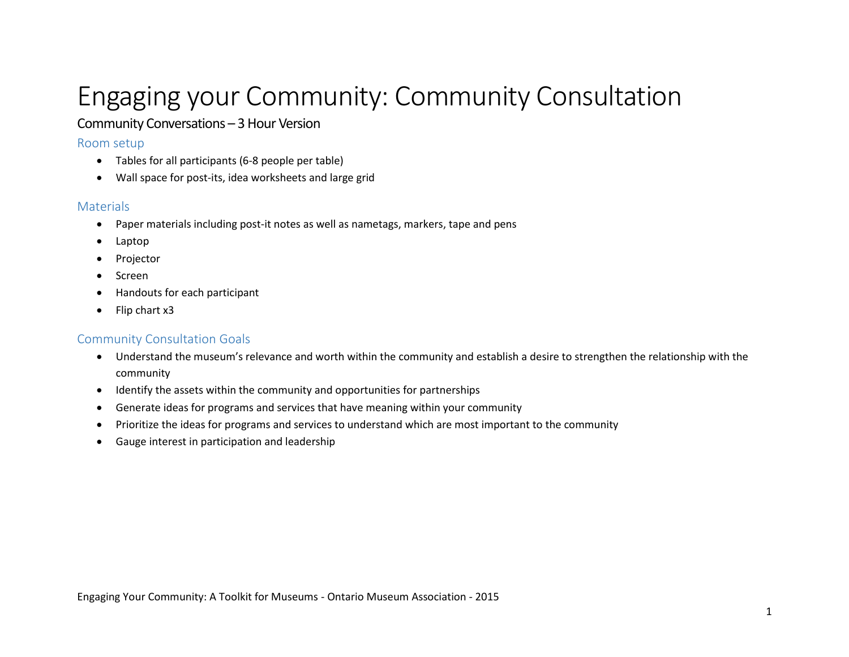# Engaging your Community: Community Consultation

## Community Conversations – 3 Hour Version

#### Room setup

- Tables for all participants (6-8 people per table)
- Wall space for post-its, idea worksheets and large grid

### **Materials**

- Paper materials including post-it notes as well as nametags, markers, tape and pens
- Laptop
- Projector
- Screen
- Handouts for each participant
- Flip chart x3

## Community Consultation Goals

- Understand the museum's relevance and worth within the community and establish a desire to strengthen the relationship with the community
- Identify the assets within the community and opportunities for partnerships
- Generate ideas for programs and services that have meaning within your community
- Prioritize the ideas for programs and services to understand which are most important to the community
- Gauge interest in participation and leadership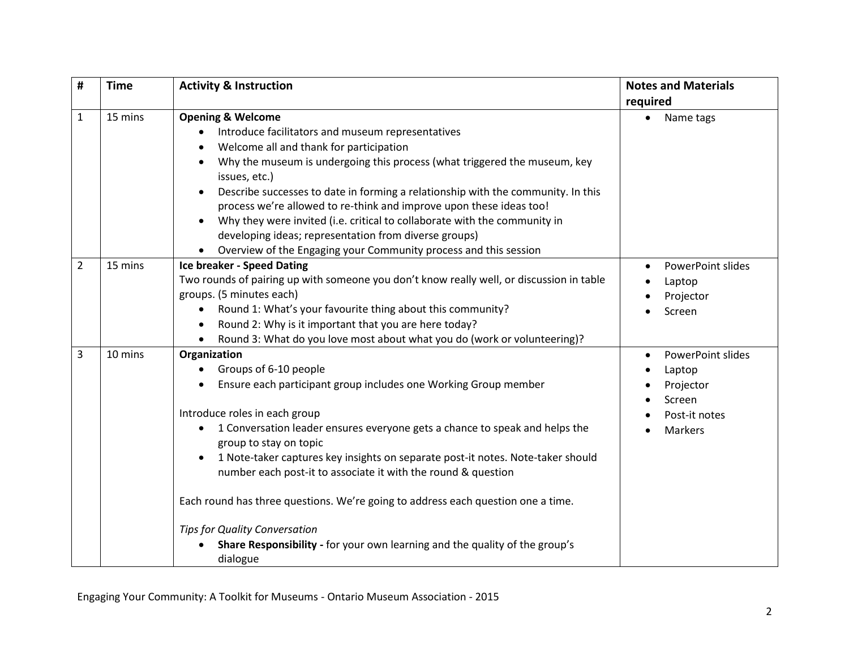| #              | <b>Time</b> | <b>Activity &amp; Instruction</b>                                                                                                                                    | <b>Notes and Materials</b> |  |  |
|----------------|-------------|----------------------------------------------------------------------------------------------------------------------------------------------------------------------|----------------------------|--|--|
|                |             |                                                                                                                                                                      | required                   |  |  |
| $\mathbf 1$    | 15 mins     | <b>Opening &amp; Welcome</b>                                                                                                                                         | Name tags                  |  |  |
|                |             | Introduce facilitators and museum representatives                                                                                                                    |                            |  |  |
|                |             | Welcome all and thank for participation                                                                                                                              |                            |  |  |
|                |             | Why the museum is undergoing this process (what triggered the museum, key<br>issues, etc.)                                                                           |                            |  |  |
|                |             | Describe successes to date in forming a relationship with the community. In this<br>$\bullet$<br>process we're allowed to re-think and improve upon these ideas too! |                            |  |  |
|                |             | Why they were invited (i.e. critical to collaborate with the community in                                                                                            |                            |  |  |
|                |             | developing ideas; representation from diverse groups)                                                                                                                |                            |  |  |
|                |             | Overview of the Engaging your Community process and this session                                                                                                     |                            |  |  |
| $\overline{2}$ | 15 mins     | <b>Ice breaker - Speed Dating</b>                                                                                                                                    | PowerPoint slides          |  |  |
|                |             | Two rounds of pairing up with someone you don't know really well, or discussion in table                                                                             | Laptop                     |  |  |
|                |             | groups. (5 minutes each)                                                                                                                                             | Projector                  |  |  |
|                |             | Round 1: What's your favourite thing about this community?<br>$\bullet$                                                                                              | Screen                     |  |  |
|                |             | Round 2: Why is it important that you are here today?<br>$\bullet$                                                                                                   |                            |  |  |
|                |             | Round 3: What do you love most about what you do (work or volunteering)?                                                                                             |                            |  |  |
| 3              | 10 mins     | Organization                                                                                                                                                         | PowerPoint slides          |  |  |
|                |             | Groups of 6-10 people                                                                                                                                                | Laptop                     |  |  |
|                |             | Ensure each participant group includes one Working Group member                                                                                                      | Projector                  |  |  |
|                |             |                                                                                                                                                                      | Screen                     |  |  |
|                |             | Introduce roles in each group                                                                                                                                        | Post-it notes              |  |  |
|                |             | 1 Conversation leader ensures everyone gets a chance to speak and helps the<br>$\bullet$<br>group to stay on topic                                                   | Markers                    |  |  |
|                |             | 1 Note-taker captures key insights on separate post-it notes. Note-taker should<br>number each post-it to associate it with the round & question                     |                            |  |  |
|                |             | Each round has three questions. We're going to address each question one a time.                                                                                     |                            |  |  |
|                |             | <b>Tips for Quality Conversation</b>                                                                                                                                 |                            |  |  |
|                |             | Share Responsibility - for your own learning and the quality of the group's<br>dialogue                                                                              |                            |  |  |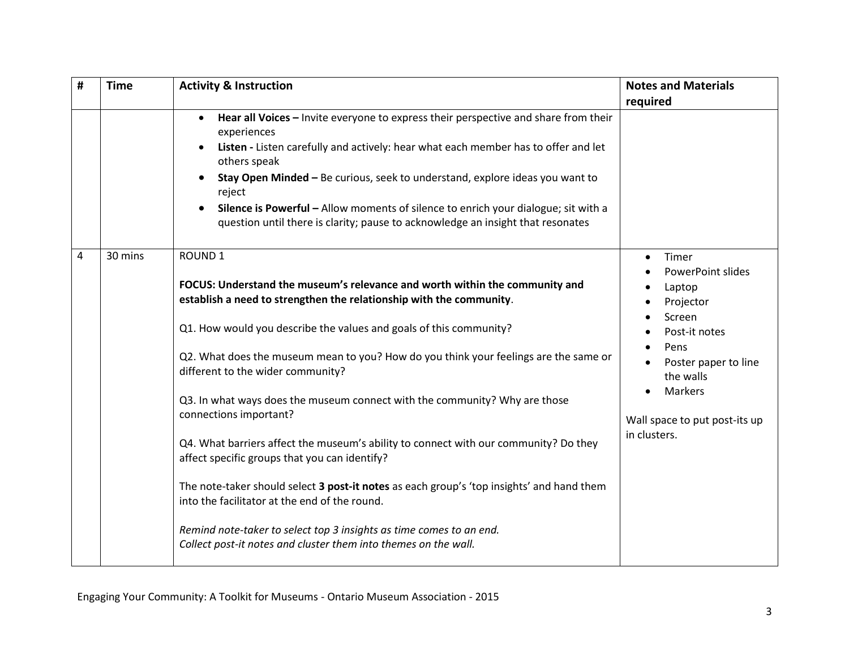| # | <b>Time</b> | <b>Activity &amp; Instruction</b>                                                                                                                                                                                                                                                                                                                                                                                  | <b>Notes and Materials</b>                     |
|---|-------------|--------------------------------------------------------------------------------------------------------------------------------------------------------------------------------------------------------------------------------------------------------------------------------------------------------------------------------------------------------------------------------------------------------------------|------------------------------------------------|
|   |             |                                                                                                                                                                                                                                                                                                                                                                                                                    | required                                       |
|   |             | Hear all Voices - Invite everyone to express their perspective and share from their<br>$\bullet$<br>experiences<br>Listen - Listen carefully and actively: hear what each member has to offer and let<br>others speak<br>Stay Open Minded - Be curious, seek to understand, explore ideas you want to<br>$\bullet$<br>reject<br>Silence is Powerful - Allow moments of silence to enrich your dialogue; sit with a |                                                |
|   |             | question until there is clarity; pause to acknowledge an insight that resonates                                                                                                                                                                                                                                                                                                                                    |                                                |
| 4 | 30 mins     | <b>ROUND1</b>                                                                                                                                                                                                                                                                                                                                                                                                      | Timer<br>$\bullet$<br><b>PowerPoint slides</b> |
|   |             | FOCUS: Understand the museum's relevance and worth within the community and                                                                                                                                                                                                                                                                                                                                        | Laptop                                         |
|   |             | establish a need to strengthen the relationship with the community.                                                                                                                                                                                                                                                                                                                                                | Projector<br>Screen                            |
|   |             | Q1. How would you describe the values and goals of this community?                                                                                                                                                                                                                                                                                                                                                 | Post-it notes<br>Pens                          |
|   |             | Q2. What does the museum mean to you? How do you think your feelings are the same or<br>different to the wider community?                                                                                                                                                                                                                                                                                          | Poster paper to line<br>the walls              |
|   |             | Q3. In what ways does the museum connect with the community? Why are those<br>connections important?                                                                                                                                                                                                                                                                                                               | Markers<br>Wall space to put post-its up       |
|   |             | Q4. What barriers affect the museum's ability to connect with our community? Do they<br>affect specific groups that you can identify?                                                                                                                                                                                                                                                                              | in clusters.                                   |
|   |             | The note-taker should select 3 post-it notes as each group's 'top insights' and hand them<br>into the facilitator at the end of the round.                                                                                                                                                                                                                                                                         |                                                |
|   |             | Remind note-taker to select top 3 insights as time comes to an end.<br>Collect post-it notes and cluster them into themes on the wall.                                                                                                                                                                                                                                                                             |                                                |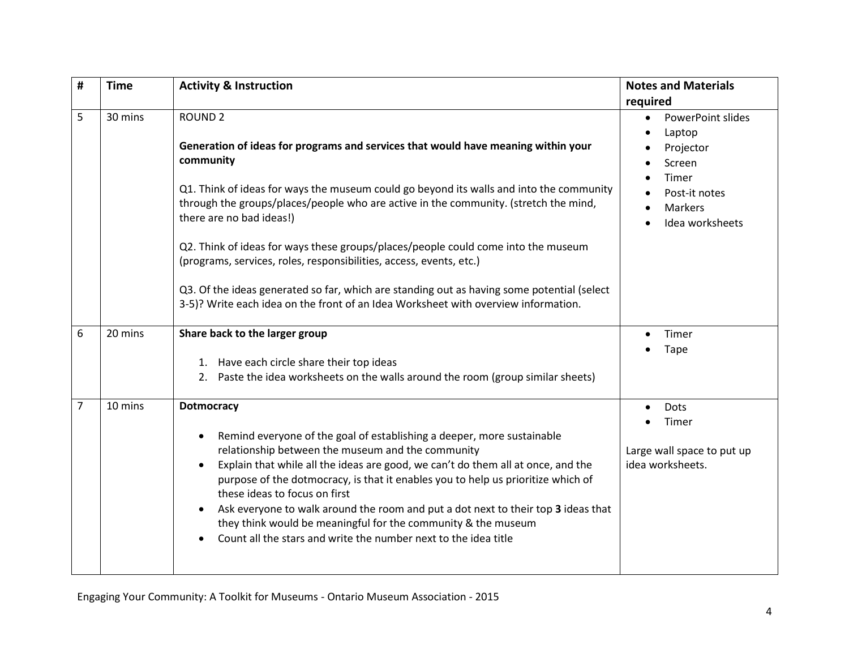| #              | <b>Time</b> | <b>Activity &amp; Instruction</b>                                                                                                                                                                                                                                                                                                                                                                                                                                                                                                                                                                                         | <b>Notes and Materials</b><br>required                                                                                                                                |
|----------------|-------------|---------------------------------------------------------------------------------------------------------------------------------------------------------------------------------------------------------------------------------------------------------------------------------------------------------------------------------------------------------------------------------------------------------------------------------------------------------------------------------------------------------------------------------------------------------------------------------------------------------------------------|-----------------------------------------------------------------------------------------------------------------------------------------------------------------------|
| 5              | 30 mins     | <b>ROUND 2</b><br>Generation of ideas for programs and services that would have meaning within your<br>community<br>Q1. Think of ideas for ways the museum could go beyond its walls and into the community<br>through the groups/places/people who are active in the community. (stretch the mind,<br>there are no bad ideas!)                                                                                                                                                                                                                                                                                           | <b>PowerPoint slides</b><br>$\bullet$<br>Laptop<br>$\bullet$<br>Projector<br>Screen<br>Timer<br>Post-it notes<br>$\bullet$<br>Markers<br>$\bullet$<br>Idea worksheets |
|                |             | Q2. Think of ideas for ways these groups/places/people could come into the museum<br>(programs, services, roles, responsibilities, access, events, etc.)<br>Q3. Of the ideas generated so far, which are standing out as having some potential (select<br>3-5)? Write each idea on the front of an Idea Worksheet with overview information.                                                                                                                                                                                                                                                                              |                                                                                                                                                                       |
| 6              | 20 mins     | Share back to the larger group<br>1. Have each circle share their top ideas<br>2. Paste the idea worksheets on the walls around the room (group similar sheets)                                                                                                                                                                                                                                                                                                                                                                                                                                                           | Timer<br>$\bullet$<br><b>Tape</b>                                                                                                                                     |
| $\overline{7}$ | 10 mins     | <b>Dotmocracy</b><br>Remind everyone of the goal of establishing a deeper, more sustainable<br>$\bullet$<br>relationship between the museum and the community<br>Explain that while all the ideas are good, we can't do them all at once, and the<br>$\bullet$<br>purpose of the dotmocracy, is that it enables you to help us prioritize which of<br>these ideas to focus on first<br>Ask everyone to walk around the room and put a dot next to their top 3 ideas that<br>$\bullet$<br>they think would be meaningful for the community & the museum<br>Count all the stars and write the number next to the idea title | Dots<br>$\bullet$<br>Timer<br>$\bullet$<br>Large wall space to put up<br>idea worksheets.                                                                             |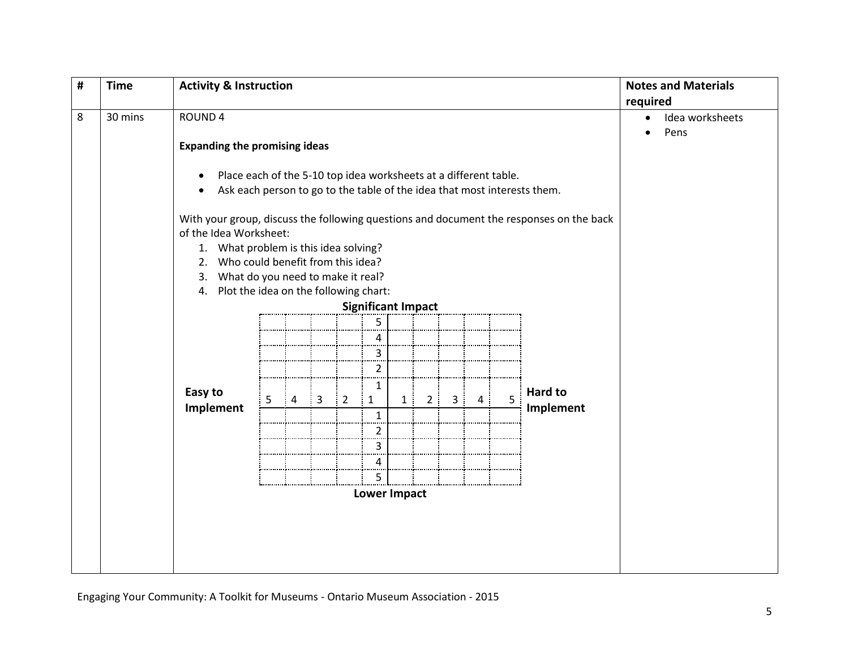| # | <b>Time</b>                                                           | <b>Activity &amp; Instruction</b>                                                                                                                                                                                                                                                                                                                                                                                                                                         |                |                |                |                                         |    |    |                     |                                                   |   |                             | <b>Notes and Materials</b><br>required |
|---|-----------------------------------------------------------------------|---------------------------------------------------------------------------------------------------------------------------------------------------------------------------------------------------------------------------------------------------------------------------------------------------------------------------------------------------------------------------------------------------------------------------------------------------------------------------|----------------|----------------|----------------|-----------------------------------------|----|----|---------------------|---------------------------------------------------|---|-----------------------------|----------------------------------------|
| 8 | 30 mins<br>ROUND <sub>4</sub><br><b>Expanding the promising ideas</b> |                                                                                                                                                                                                                                                                                                                                                                                                                                                                           |                |                |                |                                         |    |    |                     | Idea worksheets<br>$\bullet$<br>Pens<br>$\bullet$ |   |                             |                                        |
|   |                                                                       | Place each of the 5-10 top idea worksheets at a different table.<br>$\bullet$<br>Ask each person to go to the table of the idea that most interests them.<br>$\bullet$<br>With your group, discuss the following questions and document the responses on the back<br>of the Idea Worksheet:<br>1. What problem is this idea solving?<br>Who could benefit from this idea?<br>2.<br>What do you need to make it real?<br>3.<br>Plot the idea on the following chart:<br>4. |                |                |                |                                         |    |    |                     |                                                   |   |                             |                                        |
|   |                                                                       | <b>Significant Impact</b><br>5                                                                                                                                                                                                                                                                                                                                                                                                                                            |                |                |                |                                         |    |    |                     |                                                   |   |                             |                                        |
|   |                                                                       |                                                                                                                                                                                                                                                                                                                                                                                                                                                                           |                |                |                | 4<br>$\mathbf{3}$<br><br>$\overline{2}$ |    |    |                     |                                                   |   |                             |                                        |
|   |                                                                       | Easy to<br>5<br>Implement                                                                                                                                                                                                                                                                                                                                                                                                                                                 | $\overline{4}$ | $\overline{3}$ | $\overline{2}$ | 1<br>$\mathbf{1}$<br>÷<br>$\mathbf{1}$  | 1: | 2: | $\overline{3}$<br>÷ | $\overline{4}$                                    | 5 | <b>Hard to</b><br>Implement |                                        |
|   |                                                                       |                                                                                                                                                                                                                                                                                                                                                                                                                                                                           |                |                |                | $\overline{2}$<br>3                     |    |    |                     |                                                   |   |                             |                                        |
|   |                                                                       |                                                                                                                                                                                                                                                                                                                                                                                                                                                                           |                |                |                | 4<br><br>5                              |    |    |                     |                                                   |   |                             |                                        |
|   |                                                                       | Lower Impact                                                                                                                                                                                                                                                                                                                                                                                                                                                              |                |                |                |                                         |    |    |                     |                                                   |   |                             |                                        |
|   |                                                                       |                                                                                                                                                                                                                                                                                                                                                                                                                                                                           |                |                |                |                                         |    |    |                     |                                                   |   |                             |                                        |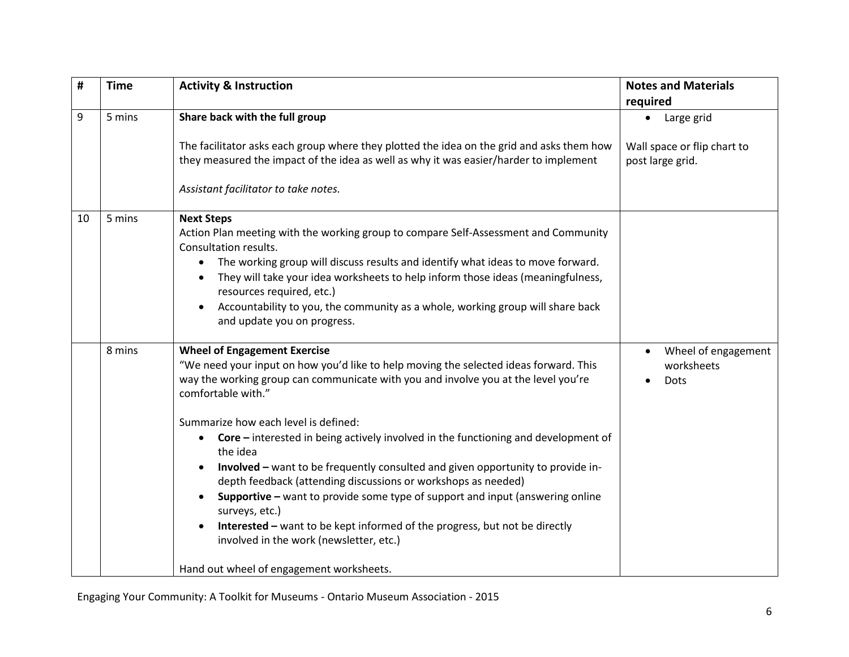| #  | <b>Time</b> | <b>Activity &amp; Instruction</b>                                                                                                                                                                                                                                                                                                                                                                                                                                                                                                                                                                                                                                                                                                                                                                                                        | <b>Notes and Materials</b><br>required           |
|----|-------------|------------------------------------------------------------------------------------------------------------------------------------------------------------------------------------------------------------------------------------------------------------------------------------------------------------------------------------------------------------------------------------------------------------------------------------------------------------------------------------------------------------------------------------------------------------------------------------------------------------------------------------------------------------------------------------------------------------------------------------------------------------------------------------------------------------------------------------------|--------------------------------------------------|
| 9  | 5 mins      | Share back with the full group                                                                                                                                                                                                                                                                                                                                                                                                                                                                                                                                                                                                                                                                                                                                                                                                           | Large grid                                       |
|    |             | The facilitator asks each group where they plotted the idea on the grid and asks them how<br>they measured the impact of the idea as well as why it was easier/harder to implement                                                                                                                                                                                                                                                                                                                                                                                                                                                                                                                                                                                                                                                       | Wall space or flip chart to<br>post large grid.  |
|    |             | Assistant facilitator to take notes.                                                                                                                                                                                                                                                                                                                                                                                                                                                                                                                                                                                                                                                                                                                                                                                                     |                                                  |
| 10 | 5 mins      | <b>Next Steps</b><br>Action Plan meeting with the working group to compare Self-Assessment and Community<br>Consultation results.<br>The working group will discuss results and identify what ideas to move forward.<br>$\bullet$<br>They will take your idea worksheets to help inform those ideas (meaningfulness,<br>resources required, etc.)<br>Accountability to you, the community as a whole, working group will share back<br>$\bullet$<br>and update you on progress.                                                                                                                                                                                                                                                                                                                                                          |                                                  |
|    | 8 mins      | <b>Wheel of Engagement Exercise</b><br>"We need your input on how you'd like to help moving the selected ideas forward. This<br>way the working group can communicate with you and involve you at the level you're<br>comfortable with."<br>Summarize how each level is defined:<br>Core - interested in being actively involved in the functioning and development of<br>$\bullet$<br>the idea<br>Involved - want to be frequently consulted and given opportunity to provide in-<br>$\bullet$<br>depth feedback (attending discussions or workshops as needed)<br>Supportive - want to provide some type of support and input (answering online<br>surveys, etc.)<br>Interested - want to be kept informed of the progress, but not be directly<br>involved in the work (newsletter, etc.)<br>Hand out wheel of engagement worksheets. | Wheel of engagement<br>worksheets<br><b>Dots</b> |